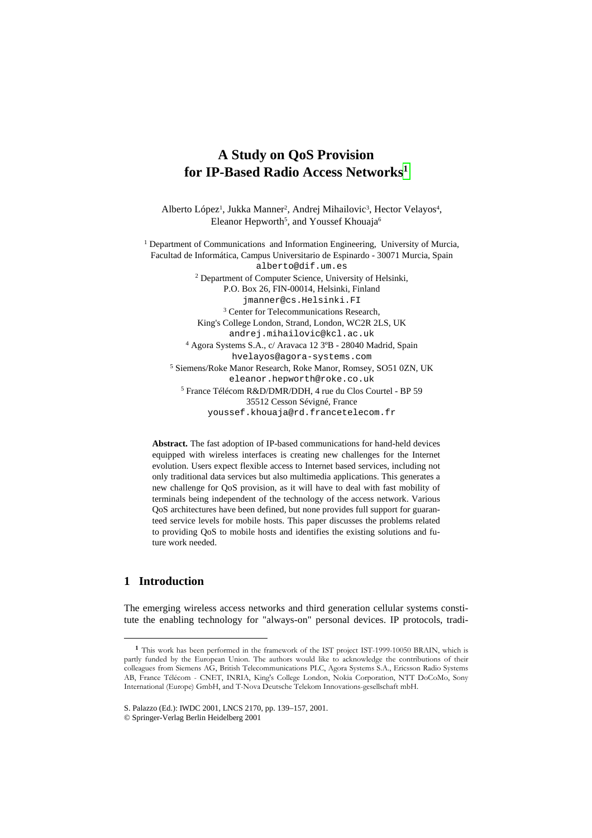# **A Study on QoS Provision for IP-Based Radio Access Networks1**

Alberto López<sup>1</sup>, Jukka Manner<sup>2</sup>, Andrei Mihailovic<sup>3</sup>, Hector Velayos<sup>4</sup>, Eleanor Hepworth<sup>5</sup>, and Youssef Khouaja<sup>6</sup>

<sup>1</sup> Department of Communications and Information Engineering, University of Murcia, Facultad de Informática, Campus Universitario de Espinardo - 30071 Murcia, Spain alberto@dif.um.es 2 Department of Computer Science, University of Helsinki, P.O. Box 26, FIN-00014, Helsinki, Finland jmanner@cs.Helsinki.FI <sup>3</sup> Center for Telecommunications Research, King's College London, Strand, London, WC2R 2LS, UK andrej.mihailovic@kcl.ac.uk 4 Agora Systems S.A., c/ Aravaca 12 3ºB - 28040 Madrid, Spain hvelayos@agora-systems.com 5 Siemens/Roke Manor Research, Roke Manor, Romsey, SO51 0ZN, UK eleanor.hepworth@roke.co.uk 5 France Télécom R&D/DMR/DDH, 4 rue du Clos Courtel - BP 59 35512 Cesson Sévigné, France youssef.khouaja@rd.francetelecom.fr

**Abstract.** The fast adoption of IP-based communications for hand-held devices equipped with wireless interfaces is creating new challenges for the Internet evolution. Users expect flexible access to Internet based services, including not only traditional data services but also multimedia applications. This generates a new challenge for QoS provision, as it will have to deal with fast mobility of terminals being independent of the technology of the access network. Various QoS architectures have been defined, but none provides full support for guaranteed service levels for mobile hosts. This paper discusses the problems related to providing QoS to mobile hosts and identifies the existing solutions and future work needed.

# **1 Introduction**

 $\overline{a}$ 

The emerging wireless access networks and third generation cellular systems constitute the enabling technology for "always-on" personal devices. IP protocols, tradi-

**<sup>1</sup>** This work has been performed in the framework of the IST project IST-1999-10050 BRAIN, which is partly funded by the European Union. The authors would like to acknowledge the contributions of their colleagues from Siemens AG, British Telecommunications PLC, Agora Systems S.A., Ericsson Radio Systems AB, France TÈlÈcom - CNET, INRIA, King's College London, Nokia Corporation, NTT DoCoMo, Sony International (Europe) GmbH, and T-Nova Deutsche Telekom Innovations-gesellschaft mbH.

S. Palazzo (Ed.): IWDC 2001, LNCS 2170, pp. 139–157, 2001.

<sup>©</sup> Springer-Verlag Berlin Heidelberg 2001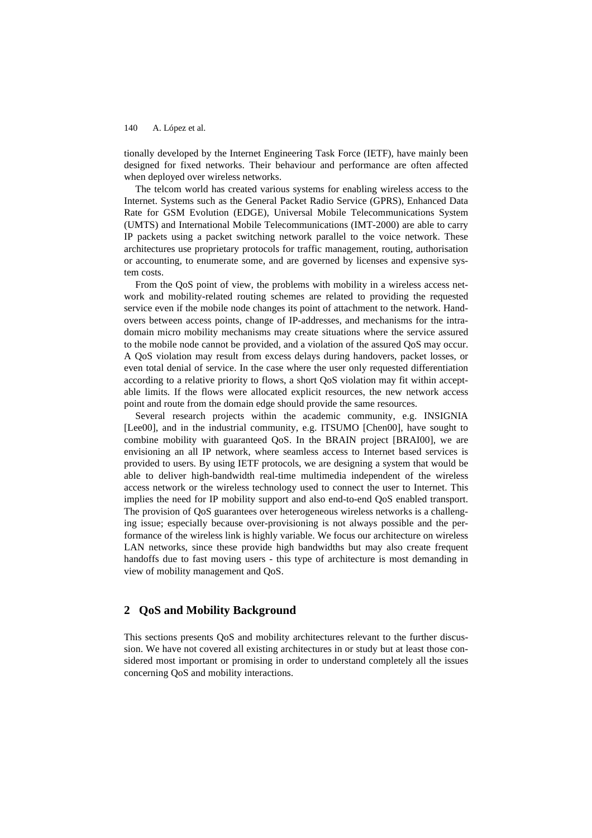tionally developed by the Internet Engineering Task Force (IETF), have mainly been designed for fixed networks. Their behaviour and performance are often affected when deployed over wireless networks.

The telcom world has created various systems for enabling wireless access to the Internet. Systems such as the General Packet Radio Service (GPRS), Enhanced Data Rate for GSM Evolution (EDGE), Universal Mobile Telecommunications System (UMTS) and International Mobile Telecommunications (IMT-2000) are able to carry IP packets using a packet switching network parallel to the voice network. These architectures use proprietary protocols for traffic management, routing, authorisation or accounting, to enumerate some, and are governed by licenses and expensive system costs.

From the QoS point of view, the problems with mobility in a wireless access network and mobility-related routing schemes are related to providing the requested service even if the mobile node changes its point of attachment to the network. Handovers between access points, change of IP-addresses, and mechanisms for the intradomain micro mobility mechanisms may create situations where the service assured to the mobile node cannot be provided, and a violation of the assured QoS may occur. A QoS violation may result from excess delays during handovers, packet losses, or even total denial of service. In the case where the user only requested differentiation according to a relative priority to flows, a short QoS violation may fit within acceptable limits. If the flows were allocated explicit resources, the new network access point and route from the domain edge should provide the same resources.

Several research projects within the academic community, e.g. INSIGNIA [Lee00], and in the industrial community, e.g. ITSUMO [Chen00], have sought to combine mobility with guaranteed QoS. In the BRAIN project [BRAI00], we are envisioning an all IP network, where seamless access to Internet based services is provided to users. By using IETF protocols, we are designing a system that would be able to deliver high-bandwidth real-time multimedia independent of the wireless access network or the wireless technology used to connect the user to Internet. This implies the need for IP mobility support and also end-to-end QoS enabled transport. The provision of QoS guarantees over heterogeneous wireless networks is a challenging issue; especially because over-provisioning is not always possible and the performance of the wireless link is highly variable. We focus our architecture on wireless LAN networks, since these provide high bandwidths but may also create frequent handoffs due to fast moving users - this type of architecture is most demanding in view of mobility management and QoS.

### **2 QoS and Mobility Background**

This sections presents QoS and mobility architectures relevant to the further discussion. We have not covered all existing architectures in or study but at least those considered most important or promising in order to understand completely all the issues concerning QoS and mobility interactions.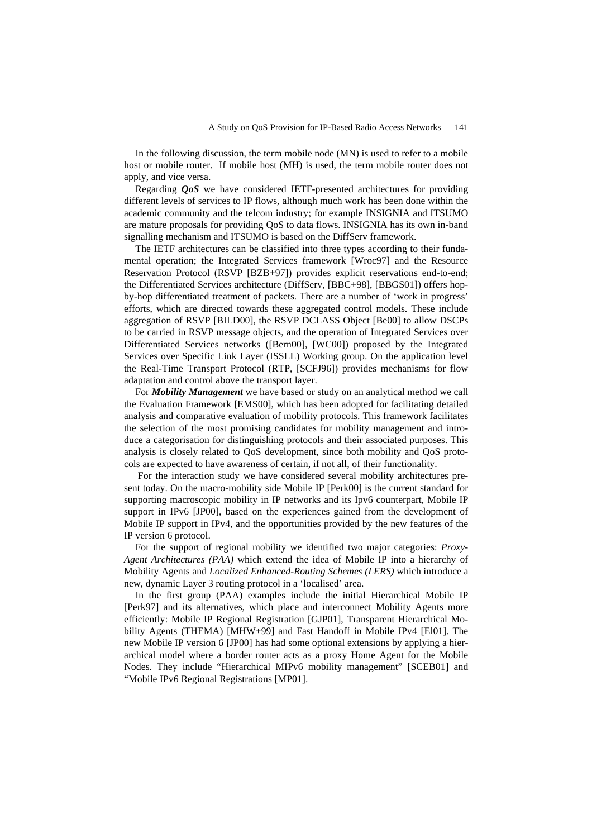In the following discussion, the term mobile node (MN) is used to refer to a mobile host or mobile router. If mobile host (MH) is used, the term mobile router does not apply, and vice versa.

Regarding *QoS* we have considered IETF-presented architectures for providing different levels of services to IP flows, although much work has been done within the academic community and the telcom industry; for example INSIGNIA and ITSUMO are mature proposals for providing QoS to data flows. INSIGNIA has its own in-band signalling mechanism and ITSUMO is based on the DiffServ framework.

The IETF architectures can be classified into three types according to their fundamental operation; the Integrated Services framework [Wroc97] and the Resource Reservation Protocol (RSVP [BZB+97]) provides explicit reservations end-to-end; the Differentiated Services architecture (DiffServ, [BBC+98], [BBGS01]) offers hopby-hop differentiated treatment of packets. There are a number of 'work in progress' efforts, which are directed towards these aggregated control models. These include aggregation of RSVP [BILD00], the RSVP DCLASS Object [Be00] to allow DSCPs to be carried in RSVP message objects, and the operation of Integrated Services over Differentiated Services networks ([Bern00], [WC00]) proposed by the Integrated Services over Specific Link Layer (ISSLL) Working group. On the application level the Real-Time Transport Protocol (RTP, [SCFJ96]) provides mechanisms for flow adaptation and control above the transport layer.

For *Mobility Management* we have based or study on an analytical method we call the Evaluation Framework [EMS00], which has been adopted for facilitating detailed analysis and comparative evaluation of mobility protocols. This framework facilitates the selection of the most promising candidates for mobility management and introduce a categorisation for distinguishing protocols and their associated purposes. This analysis is closely related to QoS development, since both mobility and QoS protocols are expected to have awareness of certain, if not all, of their functionality.

 For the interaction study we have considered several mobility architectures present today. On the macro-mobility side Mobile IP [Perk00] is the current standard for supporting macroscopic mobility in IP networks and its Ipv6 counterpart, Mobile IP support in IPv6 [JP00], based on the experiences gained from the development of Mobile IP support in IPv4, and the opportunities provided by the new features of the IP version 6 protocol.

For the support of regional mobility we identified two major categories: *Proxy-Agent Architectures (PAA)* which extend the idea of Mobile IP into a hierarchy of Mobility Agents and *Localized Enhanced-Routing Schemes (LERS)* which introduce a new, dynamic Layer 3 routing protocol in a 'localised' area.

In the first group (PAA) examples include the initial Hierarchical Mobile IP [Perk97] and its alternatives, which place and interconnect Mobility Agents more efficiently: Mobile IP Regional Registration [GJP01], Transparent Hierarchical Mobility Agents (THEMA) [MHW+99] and Fast Handoff in Mobile IPv4 [El01]. The new Mobile IP version 6 [JP00] has had some optional extensions by applying a hierarchical model where a border router acts as a proxy Home Agent for the Mobile Nodes. They include "Hierarchical MIPv6 mobility management" [SCEB01] and "Mobile IPv6 Regional Registrations [MP01].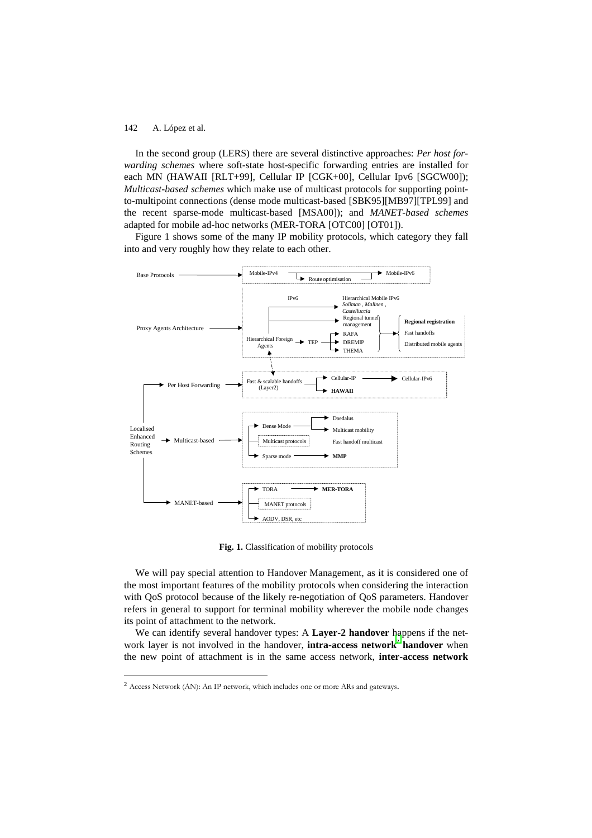#### 142 A. López et al.

In the second group (LERS) there are several distinctive approaches: *Per host forwarding schemes* where soft-state host-specific forwarding entries are installed for each MN (HAWAII [RLT+99], Cellular IP [CGK+00], Cellular Ipv6 [SGCW00]); *Multicast-based schemes* which make use of multicast protocols for supporting pointto-multipoint connections (dense mode multicast-based [SBK95][MB97][TPL99] and the recent sparse-mode multicast-based [MSA00]); and *MANET-based schemes* adapted for mobile ad-hoc networks (MER-TORA [OTC00] [OT01]).

Figure 1 shows some of the many IP mobility protocols, which category they fall into and very roughly how they relate to each other.



**Fig. 1.** Classification of mobility protocols

We will pay special attention to Handover Management, as it is considered one of the most important features of the mobility protocols when considering the interaction with QoS protocol because of the likely re-negotiation of QoS parameters. Handover refers in general to support for terminal mobility wherever the mobile node changes its point of attachment to the network.

We can identify several handover types: A **Layer-2 handover** happens if the network layer is not involved in the handover, **intra-access network<sup>2</sup> handover** when the new point of attachment is in the same access network, **inter-access network** 

 $\overline{a}$ 

<sup>2</sup> Access Network (AN): An IP network, which includes one or more ARs and gateways.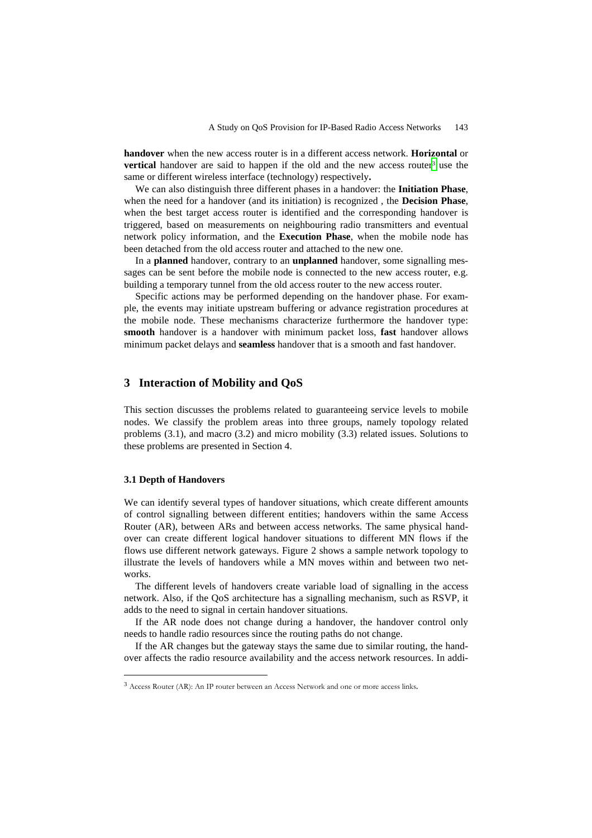**handover** when the new access router is in a different access network. **Horizontal** or **vertical** handover are said to happen if the old and the new access router<sup>3</sup> use the same or different wireless interface (technology) respectively**.**

We can also distinguish three different phases in a handover: the **Initiation Phase**, when the need for a handover (and its initiation) is recognized , the **Decision Phase**, when the best target access router is identified and the corresponding handover is triggered, based on measurements on neighbouring radio transmitters and eventual network policy information, and the **Execution Phase**, when the mobile node has been detached from the old access router and attached to the new one.

In a **planned** handover, contrary to an **unplanned** handover, some signalling messages can be sent before the mobile node is connected to the new access router, e.g. building a temporary tunnel from the old access router to the new access router.

Specific actions may be performed depending on the handover phase. For example, the events may initiate upstream buffering or advance registration procedures at the mobile node. These mechanisms characterize furthermore the handover type: **smooth** handover is a handover with minimum packet loss, **fast** handover allows minimum packet delays and **seamless** handover that is a smooth and fast handover.

### **3 Interaction of Mobility and QoS**

This section discusses the problems related to guaranteeing service levels to mobile nodes. We classify the problem areas into three groups, namely topology related problems (3.1), and macro (3.2) and micro mobility (3.3) related issues. Solutions to these problems are presented in Section 4.

#### **3.1 Depth of Handovers**

 $\overline{a}$ 

We can identify several types of handover situations, which create different amounts of control signalling between different entities; handovers within the same Access Router (AR), between ARs and between access networks. The same physical handover can create different logical handover situations to different MN flows if the flows use different network gateways. Figure 2 shows a sample network topology to illustrate the levels of handovers while a MN moves within and between two networks.

The different levels of handovers create variable load of signalling in the access network. Also, if the QoS architecture has a signalling mechanism, such as RSVP, it adds to the need to signal in certain handover situations.

If the AR node does not change during a handover, the handover control only needs to handle radio resources since the routing paths do not change.

If the AR changes but the gateway stays the same due to similar routing, the handover affects the radio resource availability and the access network resources. In addi-

<sup>3</sup> Access Router (AR): An IP router between an Access Network and one or more access links.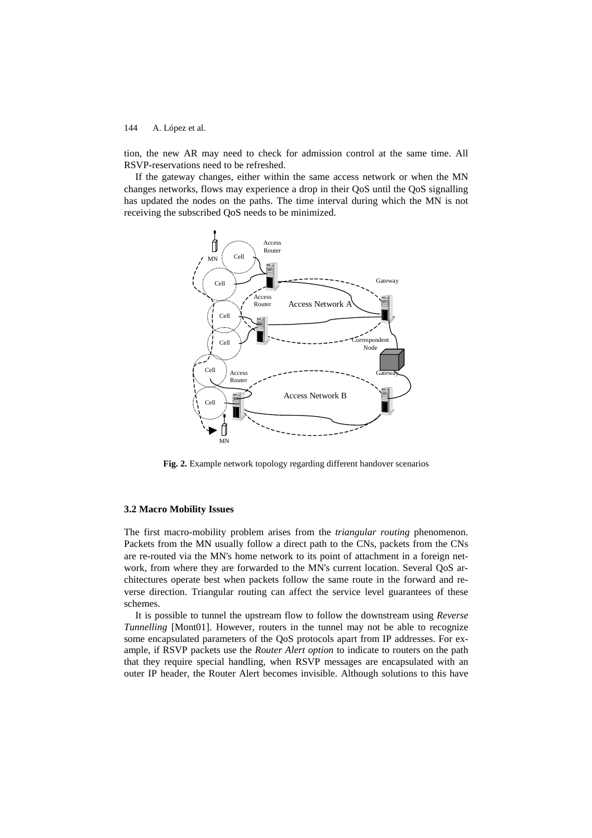tion, the new AR may need to check for admission control at the same time. All RSVP-reservations need to be refreshed.

If the gateway changes, either within the same access network or when the MN changes networks, flows may experience a drop in their QoS until the QoS signalling has updated the nodes on the paths. The time interval during which the MN is not receiving the subscribed QoS needs to be minimized.



**Fig. 2.** Example network topology regarding different handover scenarios

#### **3.2 Macro Mobility Issues**

The first macro-mobility problem arises from the *triangular routing* phenomenon. Packets from the MN usually follow a direct path to the CNs, packets from the CNs are re-routed via the MN's home network to its point of attachment in a foreign network, from where they are forwarded to the MN's current location. Several QoS architectures operate best when packets follow the same route in the forward and reverse direction. Triangular routing can affect the service level guarantees of these schemes.

It is possible to tunnel the upstream flow to follow the downstream using *Reverse Tunnelling* [Mont01]. However, routers in the tunnel may not be able to recognize some encapsulated parameters of the QoS protocols apart from IP addresses. For example, if RSVP packets use the *Router Alert option* to indicate to routers on the path that they require special handling, when RSVP messages are encapsulated with an outer IP header, the Router Alert becomes invisible. Although solutions to this have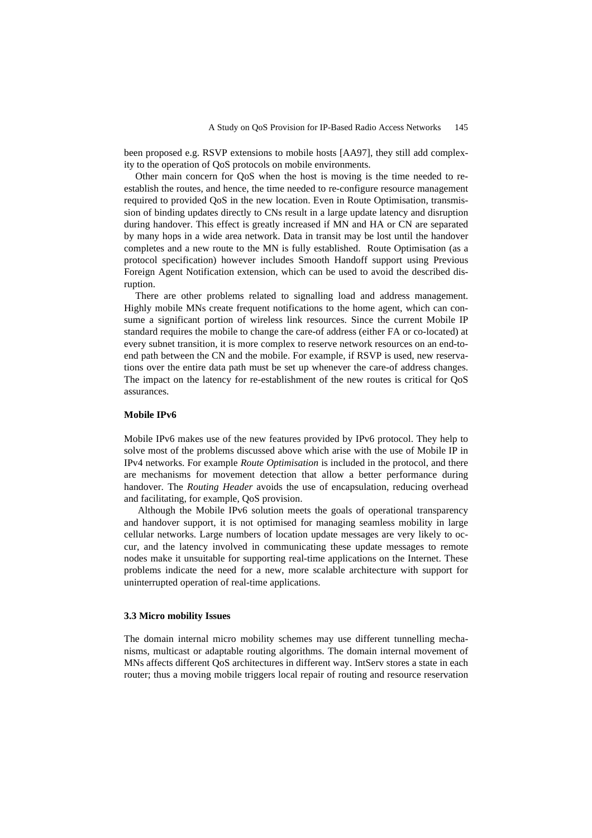been proposed e.g. RSVP extensions to mobile hosts [AA97], they still add complexity to the operation of QoS protocols on mobile environments.

Other main concern for QoS when the host is moving is the time needed to reestablish the routes, and hence, the time needed to re-configure resource management required to provided QoS in the new location. Even in Route Optimisation, transmission of binding updates directly to CNs result in a large update latency and disruption during handover. This effect is greatly increased if MN and HA or CN are separated by many hops in a wide area network. Data in transit may be lost until the handover completes and a new route to the MN is fully established. Route Optimisation (as a protocol specification) however includes Smooth Handoff support using Previous Foreign Agent Notification extension, which can be used to avoid the described disruption.

There are other problems related to signalling load and address management. Highly mobile MNs create frequent notifications to the home agent, which can consume a significant portion of wireless link resources. Since the current Mobile IP standard requires the mobile to change the care-of address (either FA or co-located) at every subnet transition, it is more complex to reserve network resources on an end-toend path between the CN and the mobile. For example, if RSVP is used, new reservations over the entire data path must be set up whenever the care-of address changes. The impact on the latency for re-establishment of the new routes is critical for QoS assurances.

#### **Mobile IPv6**

Mobile IPv6 makes use of the new features provided by IPv6 protocol. They help to solve most of the problems discussed above which arise with the use of Mobile IP in IPv4 networks. For example *Route Optimisation* is included in the protocol, and there are mechanisms for movement detection that allow a better performance during handover. The *Routing Header* avoids the use of encapsulation, reducing overhead and facilitating, for example, QoS provision.

 Although the Mobile IPv6 solution meets the goals of operational transparency and handover support, it is not optimised for managing seamless mobility in large cellular networks. Large numbers of location update messages are very likely to occur, and the latency involved in communicating these update messages to remote nodes make it unsuitable for supporting real-time applications on the Internet. These problems indicate the need for a new, more scalable architecture with support for uninterrupted operation of real-time applications.

#### **3.3 Micro mobility Issues**

The domain internal micro mobility schemes may use different tunnelling mechanisms, multicast or adaptable routing algorithms. The domain internal movement of MNs affects different QoS architectures in different way. IntServ stores a state in each router; thus a moving mobile triggers local repair of routing and resource reservation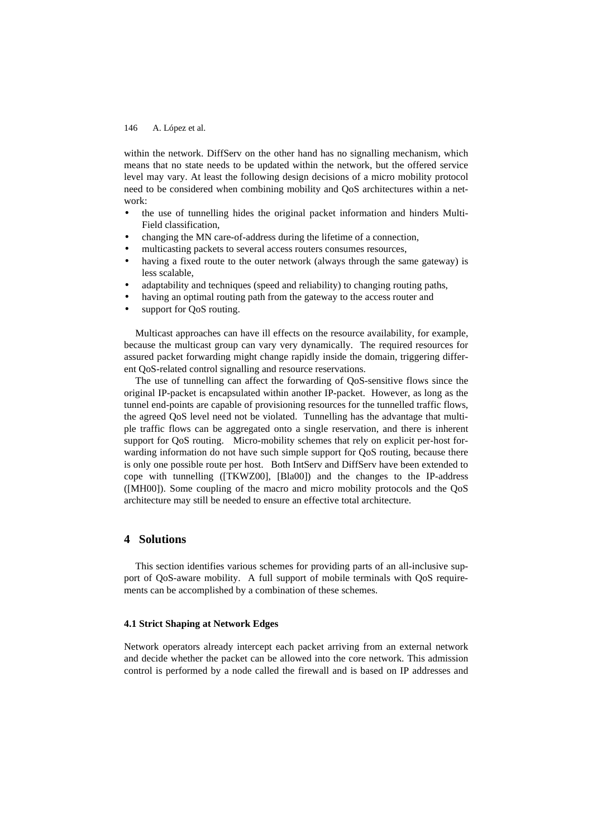within the network. DiffServ on the other hand has no signalling mechanism, which means that no state needs to be updated within the network, but the offered service level may vary. At least the following design decisions of a micro mobility protocol need to be considered when combining mobility and QoS architectures within a network:

- the use of tunnelling hides the original packet information and hinders Multi-Field classification,
- changing the MN care-of-address during the lifetime of a connection,
- multicasting packets to several access routers consumes resources,
- having a fixed route to the outer network (always through the same gateway) is less scalable,
- adaptability and techniques (speed and reliability) to changing routing paths,
- having an optimal routing path from the gateway to the access router and
- support for QoS routing.

Multicast approaches can have ill effects on the resource availability, for example, because the multicast group can vary very dynamically. The required resources for assured packet forwarding might change rapidly inside the domain, triggering different QoS-related control signalling and resource reservations.

The use of tunnelling can affect the forwarding of QoS-sensitive flows since the original IP-packet is encapsulated within another IP-packet. However, as long as the tunnel end-points are capable of provisioning resources for the tunnelled traffic flows, the agreed QoS level need not be violated. Tunnelling has the advantage that multiple traffic flows can be aggregated onto a single reservation, and there is inherent support for QoS routing. Micro-mobility schemes that rely on explicit per-host forwarding information do not have such simple support for QoS routing, because there is only one possible route per host. Both IntServ and DiffServ have been extended to cope with tunnelling ([TKWZ00], [Bla00]) and the changes to the IP-address ([MH00]). Some coupling of the macro and micro mobility protocols and the QoS architecture may still be needed to ensure an effective total architecture.

# **4 Solutions**

This section identifies various schemes for providing parts of an all-inclusive support of QoS-aware mobility. A full support of mobile terminals with QoS requirements can be accomplished by a combination of these schemes.

# **4.1 Strict Shaping at Network Edges**

Network operators already intercept each packet arriving from an external network and decide whether the packet can be allowed into the core network. This admission control is performed by a node called the firewall and is based on IP addresses and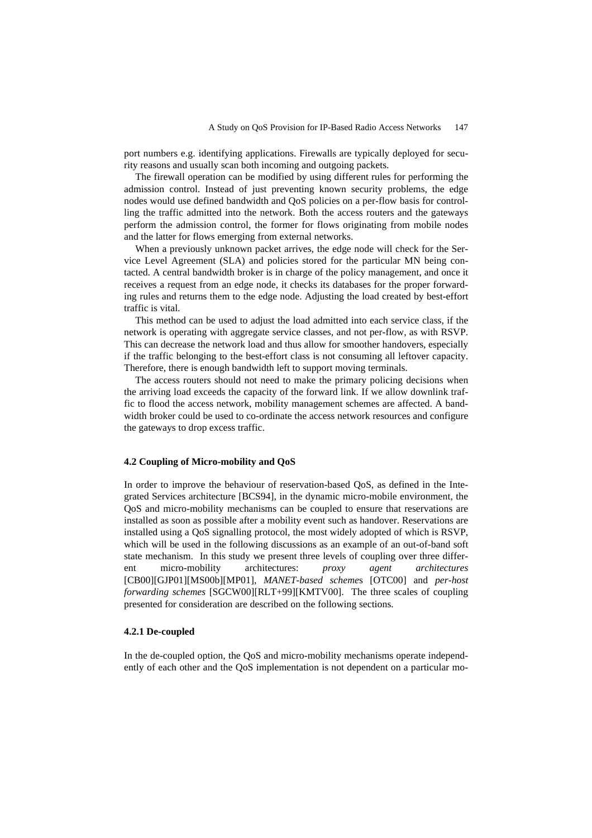port numbers e.g. identifying applications. Firewalls are typically deployed for security reasons and usually scan both incoming and outgoing packets.

The firewall operation can be modified by using different rules for performing the admission control. Instead of just preventing known security problems, the edge nodes would use defined bandwidth and QoS policies on a per-flow basis for controlling the traffic admitted into the network. Both the access routers and the gateways perform the admission control, the former for flows originating from mobile nodes and the latter for flows emerging from external networks.

When a previously unknown packet arrives, the edge node will check for the Service Level Agreement (SLA) and policies stored for the particular MN being contacted. A central bandwidth broker is in charge of the policy management, and once it receives a request from an edge node, it checks its databases for the proper forwarding rules and returns them to the edge node. Adjusting the load created by best-effort traffic is vital.

This method can be used to adjust the load admitted into each service class, if the network is operating with aggregate service classes, and not per-flow, as with RSVP. This can decrease the network load and thus allow for smoother handovers, especially if the traffic belonging to the best-effort class is not consuming all leftover capacity. Therefore, there is enough bandwidth left to support moving terminals.

The access routers should not need to make the primary policing decisions when the arriving load exceeds the capacity of the forward link. If we allow downlink traffic to flood the access network, mobility management schemes are affected. A bandwidth broker could be used to co-ordinate the access network resources and configure the gateways to drop excess traffic.

#### **4.2 Coupling of Micro-mobility and QoS**

In order to improve the behaviour of reservation-based QoS, as defined in the Integrated Services architecture [BCS94], in the dynamic micro-mobile environment, the QoS and micro-mobility mechanisms can be coupled to ensure that reservations are installed as soon as possible after a mobility event such as handover. Reservations are installed using a QoS signalling protocol, the most widely adopted of which is RSVP, which will be used in the following discussions as an example of an out-of-band soft state mechanism. In this study we present three levels of coupling over three different micro-mobility architectures: *proxy agent architectures*  [CB00][GJP01][MS00b][MP01], *MANET-based scheme*s [OTC00] and *per-host forwarding schemes* [SGCW00][RLT+99][KMTV00]. The three scales of coupling presented for consideration are described on the following sections.

### **4.2.1 De-coupled**

In the de-coupled option, the QoS and micro-mobility mechanisms operate independently of each other and the QoS implementation is not dependent on a particular mo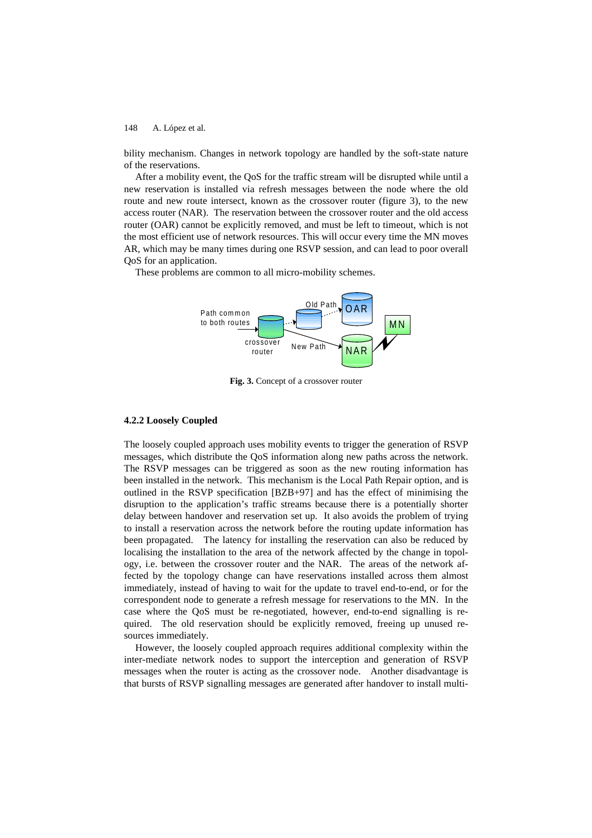bility mechanism. Changes in network topology are handled by the soft-state nature of the reservations.

After a mobility event, the QoS for the traffic stream will be disrupted while until a new reservation is installed via refresh messages between the node where the old route and new route intersect, known as the crossover router (figure 3), to the new access router (NAR). The reservation between the crossover router and the old access router (OAR) cannot be explicitly removed, and must be left to timeout, which is not the most efficient use of network resources. This will occur every time the MN moves AR, which may be many times during one RSVP session, and can lead to poor overall QoS for an application.

These problems are common to all micro-mobility schemes.



**Fig. 3.** Concept of a crossover router

### **4.2.2 Loosely Coupled**

The loosely coupled approach uses mobility events to trigger the generation of RSVP messages, which distribute the QoS information along new paths across the network. The RSVP messages can be triggered as soon as the new routing information has been installed in the network. This mechanism is the Local Path Repair option, and is outlined in the RSVP specification [BZB+97] and has the effect of minimising the disruption to the application's traffic streams because there is a potentially shorter delay between handover and reservation set up. It also avoids the problem of trying to install a reservation across the network before the routing update information has been propagated. The latency for installing the reservation can also be reduced by localising the installation to the area of the network affected by the change in topology, i.e. between the crossover router and the NAR. The areas of the network affected by the topology change can have reservations installed across them almost immediately, instead of having to wait for the update to travel end-to-end, or for the correspondent node to generate a refresh message for reservations to the MN. In the case where the QoS must be re-negotiated, however, end-to-end signalling is required. The old reservation should be explicitly removed, freeing up unused resources immediately.

However, the loosely coupled approach requires additional complexity within the inter-mediate network nodes to support the interception and generation of RSVP messages when the router is acting as the crossover node. Another disadvantage is that bursts of RSVP signalling messages are generated after handover to install multi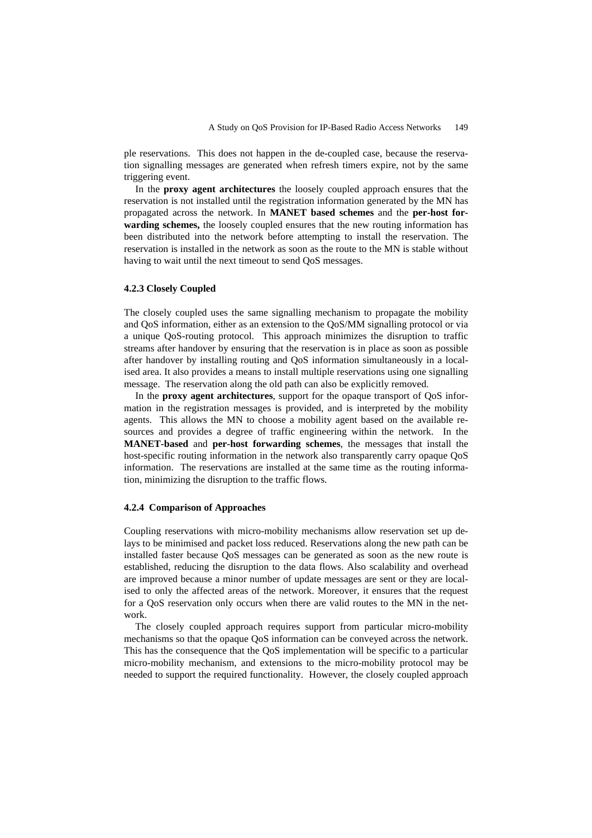ple reservations. This does not happen in the de-coupled case, because the reservation signalling messages are generated when refresh timers expire, not by the same triggering event.

In the **proxy agent architectures** the loosely coupled approach ensures that the reservation is not installed until the registration information generated by the MN has propagated across the network. In **MANET based schemes** and the **per-host forwarding schemes,** the loosely coupled ensures that the new routing information has been distributed into the network before attempting to install the reservation. The reservation is installed in the network as soon as the route to the MN is stable without having to wait until the next timeout to send QoS messages.

#### **4.2.3 Closely Coupled**

The closely coupled uses the same signalling mechanism to propagate the mobility and QoS information, either as an extension to the QoS/MM signalling protocol or via a unique QoS-routing protocol. This approach minimizes the disruption to traffic streams after handover by ensuring that the reservation is in place as soon as possible after handover by installing routing and QoS information simultaneously in a localised area. It also provides a means to install multiple reservations using one signalling message. The reservation along the old path can also be explicitly removed.

In the **proxy agent architectures**, support for the opaque transport of QoS information in the registration messages is provided, and is interpreted by the mobility agents. This allows the MN to choose a mobility agent based on the available resources and provides a degree of traffic engineering within the network. In the **MANET-based** and **per-host forwarding schemes**, the messages that install the host-specific routing information in the network also transparently carry opaque QoS information. The reservations are installed at the same time as the routing information, minimizing the disruption to the traffic flows.

#### **4.2.4 Comparison of Approaches**

Coupling reservations with micro-mobility mechanisms allow reservation set up delays to be minimised and packet loss reduced. Reservations along the new path can be installed faster because QoS messages can be generated as soon as the new route is established, reducing the disruption to the data flows. Also scalability and overhead are improved because a minor number of update messages are sent or they are localised to only the affected areas of the network. Moreover, it ensures that the request for a QoS reservation only occurs when there are valid routes to the MN in the network.

The closely coupled approach requires support from particular micro-mobility mechanisms so that the opaque QoS information can be conveyed across the network. This has the consequence that the QoS implementation will be specific to a particular micro-mobility mechanism, and extensions to the micro-mobility protocol may be needed to support the required functionality. However, the closely coupled approach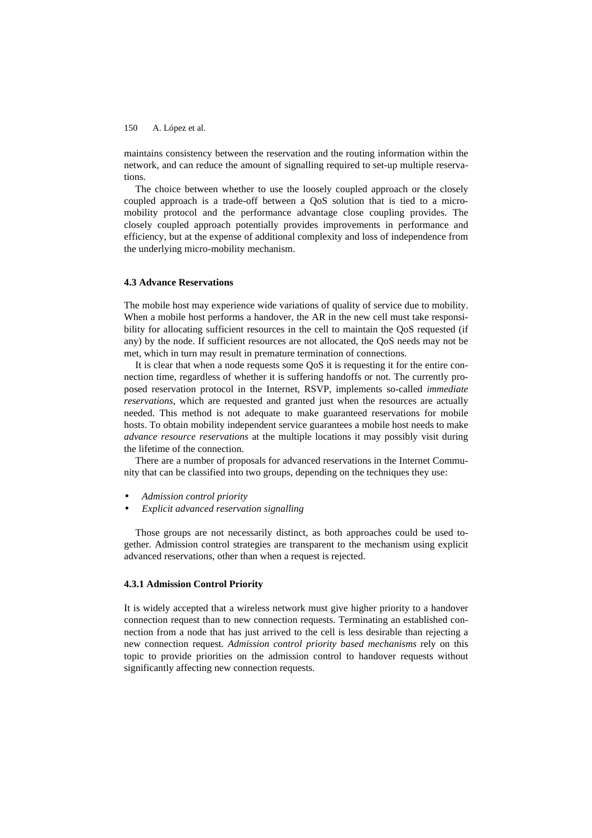maintains consistency between the reservation and the routing information within the network, and can reduce the amount of signalling required to set-up multiple reservations.

The choice between whether to use the loosely coupled approach or the closely coupled approach is a trade-off between a QoS solution that is tied to a micromobility protocol and the performance advantage close coupling provides. The closely coupled approach potentially provides improvements in performance and efficiency, but at the expense of additional complexity and loss of independence from the underlying micro-mobility mechanism.

### **4.3 Advance Reservations**

The mobile host may experience wide variations of quality of service due to mobility. When a mobile host performs a handover, the AR in the new cell must take responsibility for allocating sufficient resources in the cell to maintain the QoS requested (if any) by the node. If sufficient resources are not allocated, the QoS needs may not be met, which in turn may result in premature termination of connections.

It is clear that when a node requests some QoS it is requesting it for the entire connection time, regardless of whether it is suffering handoffs or not. The currently proposed reservation protocol in the Internet, RSVP, implements so-called *immediate reservations*, which are requested and granted just when the resources are actually needed. This method is not adequate to make guaranteed reservations for mobile hosts. To obtain mobility independent service guarantees a mobile host needs to make *advance resource reservations* at the multiple locations it may possibly visit during the lifetime of the connection.

There are a number of proposals for advanced reservations in the Internet Community that can be classified into two groups, depending on the techniques they use:

- *Admission control priority*
- *Explicit advanced reservation signalling*

Those groups are not necessarily distinct, as both approaches could be used together. Admission control strategies are transparent to the mechanism using explicit advanced reservations, other than when a request is rejected.

### **4.3.1 Admission Control Priority**

It is widely accepted that a wireless network must give higher priority to a handover connection request than to new connection requests. Terminating an established connection from a node that has just arrived to the cell is less desirable than rejecting a new connection request. *Admission control priority based mechanisms* rely on this topic to provide priorities on the admission control to handover requests without significantly affecting new connection requests.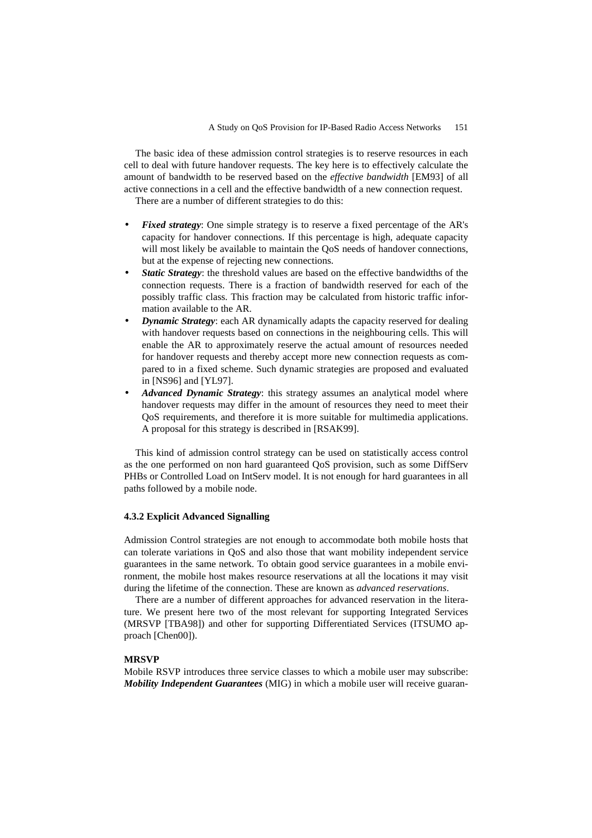The basic idea of these admission control strategies is to reserve resources in each cell to deal with future handover requests. The key here is to effectively calculate the amount of bandwidth to be reserved based on the *effective bandwidth* [EM93] of all active connections in a cell and the effective bandwidth of a new connection request.

There are a number of different strategies to do this:

- **Fixed strategy**: One simple strategy is to reserve a fixed percentage of the AR's capacity for handover connections. If this percentage is high, adequate capacity will most likely be available to maintain the QoS needs of handover connections, but at the expense of rejecting new connections.
- **Static Strategy:** the threshold values are based on the effective bandwidths of the connection requests. There is a fraction of bandwidth reserved for each of the possibly traffic class. This fraction may be calculated from historic traffic information available to the AR.
- *Dynamic Strategy:* each AR dynamically adapts the capacity reserved for dealing with handover requests based on connections in the neighbouring cells. This will enable the AR to approximately reserve the actual amount of resources needed for handover requests and thereby accept more new connection requests as compared to in a fixed scheme. Such dynamic strategies are proposed and evaluated in [NS96] and [YL97].
- *Advanced Dynamic Strategy*: this strategy assumes an analytical model where handover requests may differ in the amount of resources they need to meet their QoS requirements, and therefore it is more suitable for multimedia applications. A proposal for this strategy is described in [RSAK99].

This kind of admission control strategy can be used on statistically access control as the one performed on non hard guaranteed QoS provision, such as some DiffServ PHBs or Controlled Load on IntServ model. It is not enough for hard guarantees in all paths followed by a mobile node.

### **4.3.2 Explicit Advanced Signalling**

Admission Control strategies are not enough to accommodate both mobile hosts that can tolerate variations in QoS and also those that want mobility independent service guarantees in the same network. To obtain good service guarantees in a mobile environment, the mobile host makes resource reservations at all the locations it may visit during the lifetime of the connection. These are known as *advanced reservations*.

There are a number of different approaches for advanced reservation in the literature. We present here two of the most relevant for supporting Integrated Services (MRSVP [TBA98]) and other for supporting Differentiated Services (ITSUMO approach [Chen00]).

### **MRSVP**

Mobile RSVP introduces three service classes to which a mobile user may subscribe: *Mobility Independent Guarantees* (MIG) in which a mobile user will receive guaran-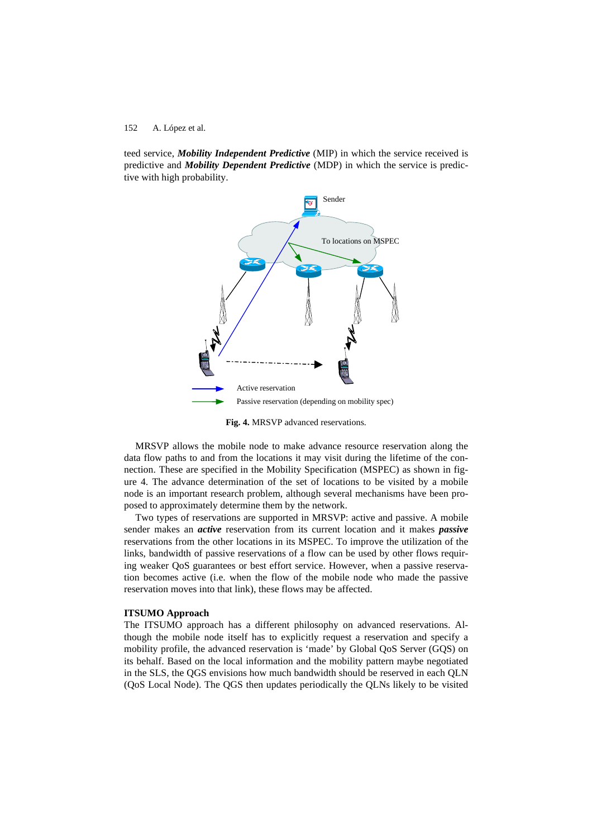teed service, *Mobility Independent Predictive* (MIP) in which the service received is predictive and *Mobility Dependent Predictive* (MDP) in which the service is predictive with high probability.



**Fig. 4.** MRSVP advanced reservations.

MRSVP allows the mobile node to make advance resource reservation along the data flow paths to and from the locations it may visit during the lifetime of the connection. These are specified in the Mobility Specification (MSPEC) as shown in figure 4. The advance determination of the set of locations to be visited by a mobile node is an important research problem, although several mechanisms have been proposed to approximately determine them by the network.

Two types of reservations are supported in MRSVP: active and passive. A mobile sender makes an *active* reservation from its current location and it makes *passive* reservations from the other locations in its MSPEC. To improve the utilization of the links, bandwidth of passive reservations of a flow can be used by other flows requiring weaker QoS guarantees or best effort service. However, when a passive reservation becomes active (i.e. when the flow of the mobile node who made the passive reservation moves into that link), these flows may be affected.

### **ITSUMO Approach**

The ITSUMO approach has a different philosophy on advanced reservations. Although the mobile node itself has to explicitly request a reservation and specify a mobility profile, the advanced reservation is 'made' by Global QoS Server (GQS) on its behalf. Based on the local information and the mobility pattern maybe negotiated in the SLS, the QGS envisions how much bandwidth should be reserved in each QLN (QoS Local Node). The QGS then updates periodically the QLNs likely to be visited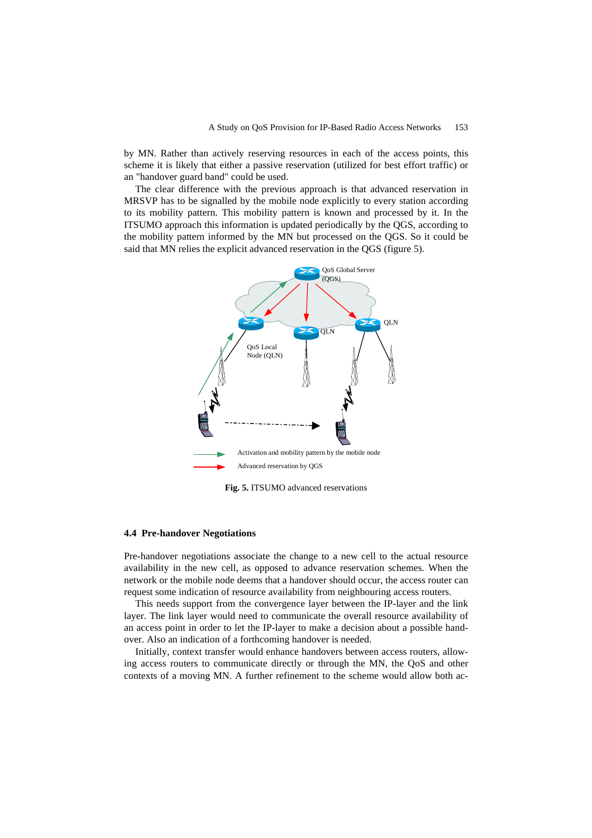by MN. Rather than actively reserving resources in each of the access points, this scheme it is likely that either a passive reservation (utilized for best effort traffic) or an "handover guard band" could be used.

The clear difference with the previous approach is that advanced reservation in MRSVP has to be signalled by the mobile node explicitly to every station according to its mobility pattern. This mobility pattern is known and processed by it. In the ITSUMO approach this information is updated periodically by the QGS, according to the mobility pattern informed by the MN but processed on the QGS. So it could be said that MN relies the explicit advanced reservation in the QGS (figure 5).



**Fig. 5.** ITSUMO advanced reservations

#### **4.4 Pre-handover Negotiations**

Pre-handover negotiations associate the change to a new cell to the actual resource availability in the new cell, as opposed to advance reservation schemes. When the network or the mobile node deems that a handover should occur, the access router can request some indication of resource availability from neighbouring access routers.

This needs support from the convergence layer between the IP-layer and the link layer. The link layer would need to communicate the overall resource availability of an access point in order to let the IP-layer to make a decision about a possible handover. Also an indication of a forthcoming handover is needed.

Initially, context transfer would enhance handovers between access routers, allowing access routers to communicate directly or through the MN, the QoS and other contexts of a moving MN. A further refinement to the scheme would allow both ac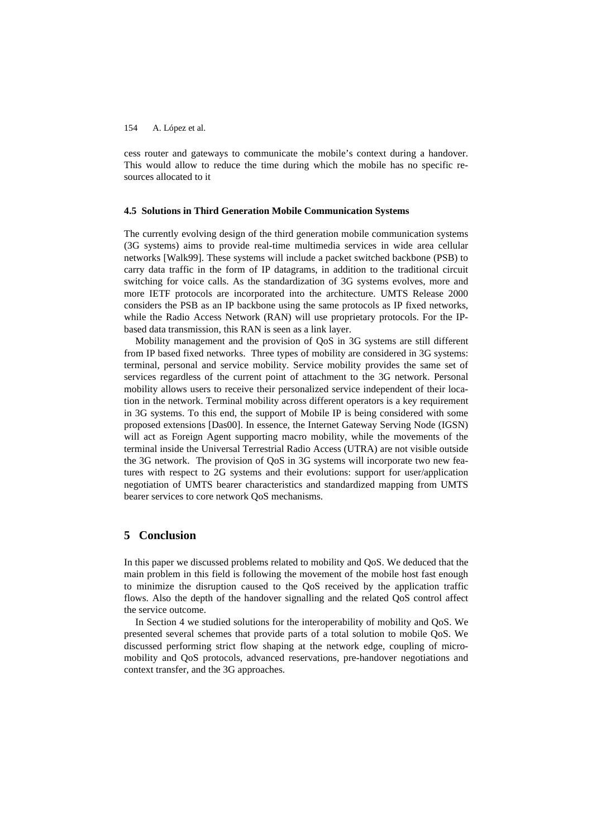cess router and gateways to communicate the mobile's context during a handover. This would allow to reduce the time during which the mobile has no specific resources allocated to it

### **4.5 Solutions in Third Generation Mobile Communication Systems**

The currently evolving design of the third generation mobile communication systems (3G systems) aims to provide real-time multimedia services in wide area cellular networks [Walk99]. These systems will include a packet switched backbone (PSB) to carry data traffic in the form of IP datagrams, in addition to the traditional circuit switching for voice calls. As the standardization of 3G systems evolves, more and more IETF protocols are incorporated into the architecture. UMTS Release 2000 considers the PSB as an IP backbone using the same protocols as IP fixed networks, while the Radio Access Network (RAN) will use proprietary protocols. For the IPbased data transmission, this RAN is seen as a link layer.

Mobility management and the provision of QoS in 3G systems are still different from IP based fixed networks. Three types of mobility are considered in 3G systems: terminal, personal and service mobility. Service mobility provides the same set of services regardless of the current point of attachment to the 3G network. Personal mobility allows users to receive their personalized service independent of their location in the network. Terminal mobility across different operators is a key requirement in 3G systems. To this end, the support of Mobile IP is being considered with some proposed extensions [Das00]. In essence, the Internet Gateway Serving Node (IGSN) will act as Foreign Agent supporting macro mobility, while the movements of the terminal inside the Universal Terrestrial Radio Access (UTRA) are not visible outside the 3G network. The provision of QoS in 3G systems will incorporate two new features with respect to 2G systems and their evolutions: support for user/application negotiation of UMTS bearer characteristics and standardized mapping from UMTS bearer services to core network QoS mechanisms.

# **5 Conclusion**

In this paper we discussed problems related to mobility and QoS. We deduced that the main problem in this field is following the movement of the mobile host fast enough to minimize the disruption caused to the QoS received by the application traffic flows. Also the depth of the handover signalling and the related QoS control affect the service outcome.

In Section 4 we studied solutions for the interoperability of mobility and QoS. We presented several schemes that provide parts of a total solution to mobile QoS. We discussed performing strict flow shaping at the network edge, coupling of micromobility and QoS protocols, advanced reservations, pre-handover negotiations and context transfer, and the 3G approaches.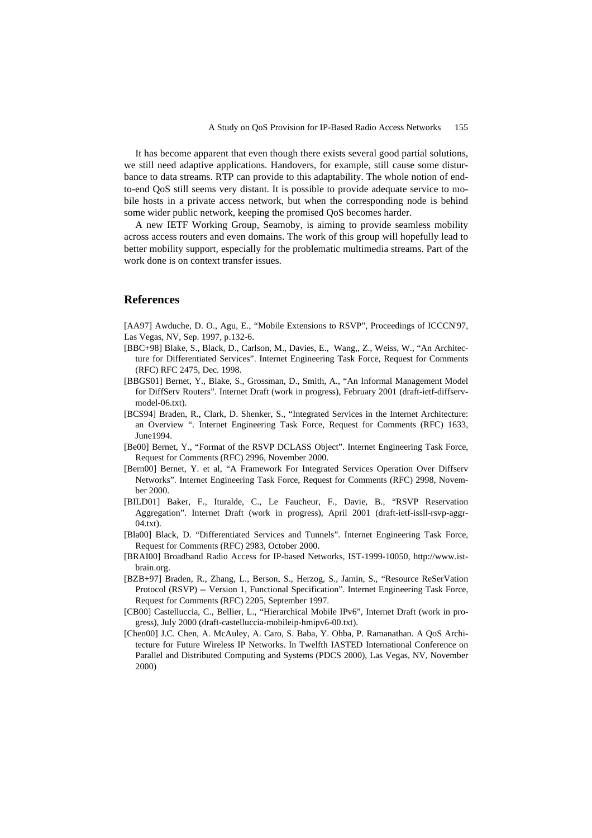It has become apparent that even though there exists several good partial solutions, we still need adaptive applications. Handovers, for example, still cause some disturbance to data streams. RTP can provide to this adaptability. The whole notion of endto-end QoS still seems very distant. It is possible to provide adequate service to mobile hosts in a private access network, but when the corresponding node is behind some wider public network, keeping the promised QoS becomes harder.

A new IETF Working Group, Seamoby, is aiming to provide seamless mobility across access routers and even domains. The work of this group will hopefully lead to better mobility support, especially for the problematic multimedia streams. Part of the work done is on context transfer issues.

### **References**

[AA97] Awduche, D. O., Agu, E., "Mobile Extensions to RSVP", Proceedings of ICCCN'97, Las Vegas, NV, Sep. 1997, p.132-6.

- [BBC+98] Blake, S., Black, D., Carlson, M., Davies, E., Wang,, Z., Weiss, W., "An Architecture for Differentiated Services". Internet Engineering Task Force, Request for Comments (RFC) RFC 2475, Dec. 1998.
- [BBGS01] Bernet, Y., Blake, S., Grossman, D., Smith, A., "An Informal Management Model for DiffServ Routers". Internet Draft (work in progress), February 2001 (draft-ietf-diffservmodel-06.txt).
- [BCS94] Braden, R., Clark, D. Shenker, S., "Integrated Services in the Internet Architecture: an Overview ". Internet Engineering Task Force, Request for Comments (RFC) 1633, June1994.
- [Be00] Bernet, Y., "Format of the RSVP DCLASS Object". Internet Engineering Task Force, Request for Comments (RFC) 2996, November 2000.
- [Bern00] Bernet, Y. et al, "A Framework For Integrated Services Operation Over Diffserv Networks". Internet Engineering Task Force, Request for Comments (RFC) 2998, November 2000.
- [BILD01] Baker, F., Ituralde, C., Le Faucheur, F., Davie, B., "RSVP Reservation Aggregation". Internet Draft (work in progress), April 2001 (draft-ietf-issll-rsvp-aggr-04.txt).
- [Bla00] Black, D. "Differentiated Services and Tunnels". Internet Engineering Task Force, Request for Comments (RFC) 2983, October 2000.
- [BRAI00] Broadband Radio Access for IP-based Networks, IST-1999-10050, http://www.istbrain.org.
- [BZB+97] Braden, R., Zhang, L., Berson, S., Herzog, S., Jamin, S., "Resource ReSerVation Protocol (RSVP) -- Version 1, Functional Specification". Internet Engineering Task Force, Request for Comments (RFC) 2205, September 1997.
- [CB00] Castelluccia, C., Bellier, L., "Hierarchical Mobile IPv6", Internet Draft (work in progress), July 2000 (draft-castelluccia-mobileip-hmipv6-00.txt).
- [Chen00] J.C. Chen, A. McAuley, A. Caro, S. Baba, Y. Ohba, P. Ramanathan. A QoS Architecture for Future Wireless IP Networks. In Twelfth IASTED International Conference on Parallel and Distributed Computing and Systems (PDCS 2000), Las Vegas, NV, November 2000)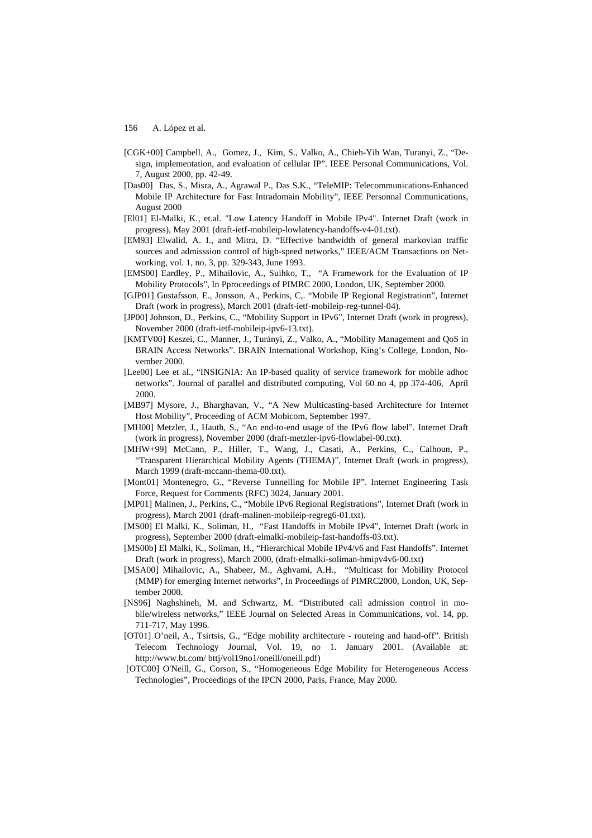- [CGK+00] Campbell, A., Gomez, J., Kim, S., Valko, A., Chieh-Yih Wan, Turanyi, Z., "Design, implementation, and evaluation of cellular IP". IEEE Personal Communications, Vol. 7, August 2000, pp. 42-49.
- [Das00] Das, S., Misra, A., Agrawal P., Das S.K., "TeleMIP: Telecommunications-Enhanced Mobile IP Architecture for Fast Intradomain Mobility", IEEE Personnal Communications, August 2000
- [El01] El-Malki, K., et.al. "Low Latency Handoff in Mobile IPv4". Internet Draft (work in progress), May 2001 (draft-ietf-mobileip-lowlatency-handoffs-v4-01.txt).
- [EM93] Elwalid, A. I., and Mitra, D. "Effective bandwidth of general markovian traffic sources and admisssion control of high-speed networks," IEEE/ACM Transactions on Networking, vol. 1, no. 3, pp. 329-343, June 1993.
- [EMS00] Eardley, P., Mihailovic, A., Suihko, T., "A Framework for the Evaluation of IP Mobility Protocols", In Pproceedings of PIMRC 2000, London, UK, September 2000.
- [GJP01] Gustafsson, E., Jonsson, A., Perkins, C,. "Mobile IP Regional Registration", Internet Draft (work in progress), March 2001 (draft-ietf-mobileip-reg-tunnel-04).
- [JP00] Johnson, D., Perkins, C., "Mobility Support in IPv6", Internet Draft (work in progress), November 2000 (draft-ietf-mobileip-ipv6-13.txt).
- [KMTV00] Keszei, C., Manner, J., Turányi, Z., Valko, A., "Mobility Management and QoS in BRAIN Access Networks". BRAIN International Workshop, King's College, London, November 2000.
- [Lee00] Lee et al., "INSIGNIA: An IP-based quality of service framework for mobile adhoc networks". Journal of parallel and distributed computing, Vol 60 no 4, pp 374-406, April 2000.
- [MB97] Mysore, J., Bharghavan, V., "A New Multicasting-based Architecture for Internet Host Mobility", Proceeding of ACM Mobicom, September 1997.
- [MH00] Metzler, J., Hauth, S., "An end-to-end usage of the IPv6 flow label". Internet Draft (work in progress), November 2000 (draft-metzler-ipv6-flowlabel-00.txt).
- [MHW+99] McCann, P., Hiller, T., Wang, J., Casati, A., Perkins, C., Calhoun, P., "Transparent Hierarchical Mobility Agents (THEMA)", Internet Draft (work in progress), March 1999 (draft-mccann-thema-00.txt).
- [Mont01] Montenegro, G., "Reverse Tunnelling for Mobile IP". Internet Engineering Task Force, Request for Comments (RFC) 3024, January 2001.
- [MP01] Malinen, J., Perkins, C., "Mobile IPv6 Regional Registrations", Internet Draft (work in progress), March 2001 (draft-malinen-mobileip-regreg6-01.txt).
- [MS00] El Malki, K., Soliman, H., "Fast Handoffs in Mobile IPv4", Internet Draft (work in progress), September 2000 (draft-elmalki-mobileip-fast-handoffs-03.txt).
- [MS00b] El Malki, K., Soliman, H., "Hierarchical Mobile IPv4/v6 and Fast Handoffs". Internet Draft (work in progress), March 2000, (draft-elmalki-soliman-hmipv4v6-00.txt)
- [MSA00] Mihailovic, A., Shabeer, M., Aghvami, A.H., "Multicast for Mobility Protocol (MMP) for emerging Internet networks", In Proceedings of PIMRC2000, London, UK, September 2000.
- [NS96] Naghshineh, M. and Schwartz, M. "Distributed call admission control in mobile/wireless networks," IEEE Journal on Selected Areas in Communications, vol. 14, pp. 711-717, May 1996.
- [OT01] O'neil, A., Tsirtsis, G., "Edge mobility architecture routeing and hand-off". British Telecom Technology Journal, Vol. 19, no 1. January 2001. (Available at: http://www.bt.com/ bttj/vol19no1/oneill/oneill.pdf)
- [OTC00] O'Neill, G., Corson, S., "Homogeneous Edge Mobility for Heterogeneous Access Technologies", Proceedings of the IPCN 2000, Paris, France, May 2000.